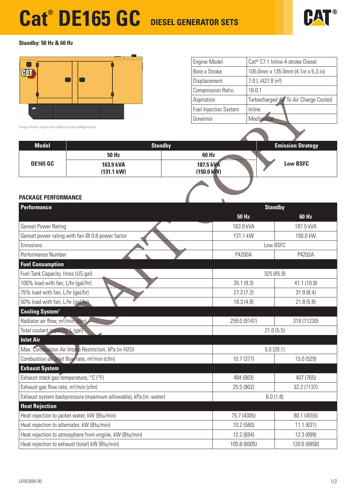# **Cat® DE165 GC DIESEL GENERATOR SETS**



#### **Standby: 50 Hz & 60 Hz**



| Engine Model                 | Cat <sup>®</sup> C7.1 Inline 4-stroke Diesel |  |  |
|------------------------------|----------------------------------------------|--|--|
| Bore x Stroke                | 105.0mm x 135.0mm (4.1in x 5.3 in)           |  |  |
| Displacement                 | 7.0 L (427.8 in <sup>3</sup> )               |  |  |
| <b>Compression Ratio</b>     | 16.0:1                                       |  |  |
| Aspiration                   | Turbocharged Air To Air Charge Cooled        |  |  |
| <b>Fuel Injection System</b> | Inline                                       |  |  |
| Governor                     | Mechanical                                   |  |  |

| <b>Model</b>    | <b>Standby</b>       |                      | <b>Emission Strategy</b> |
|-----------------|----------------------|----------------------|--------------------------|
|                 | <b>50 Hz</b>         | 60 Hz                |                          |
| <b>DE165 GC</b> | 163.9 kVA            | 187.5 kVA            | <b>Low BSFC</b>          |
|                 | $(131.1 \text{ kW})$ | $(150.0 \text{ kW})$ |                          |
|                 |                      |                      |                          |

#### **PACKAGE PERFORMANCE**

|                                                                                                                      |                                                           | Aspiration                   |                                       | Turbocharged Air To Air Charge Cooled |  |
|----------------------------------------------------------------------------------------------------------------------|-----------------------------------------------------------|------------------------------|---------------------------------------|---------------------------------------|--|
|                                                                                                                      |                                                           | <b>Fuel Injection System</b> | Inline                                |                                       |  |
|                                                                                                                      |                                                           | Governor                     | Mechanical                            |                                       |  |
| Image shown might not reflect actual configuration                                                                   |                                                           |                              |                                       |                                       |  |
|                                                                                                                      |                                                           |                              |                                       |                                       |  |
| <b>Model</b>                                                                                                         | <b>Standby</b>                                            |                              |                                       | <b>Emission Strategy</b>              |  |
|                                                                                                                      | <b>50 Hz</b>                                              | <b>60 Hz</b><br>187.5 kVA    |                                       |                                       |  |
| <b>DE165 GC</b>                                                                                                      | 163.9 kVA<br>$(131.1 \text{ kW})$                         |                              | <b>Low BSFC</b>                       |                                       |  |
|                                                                                                                      |                                                           | $(150.0 \text{ kW})$         |                                       |                                       |  |
|                                                                                                                      |                                                           |                              |                                       |                                       |  |
| <b>PACKAGE PERFORMANCE</b>                                                                                           |                                                           |                              |                                       |                                       |  |
| Performance                                                                                                          |                                                           |                              | <b>Standby</b>                        |                                       |  |
|                                                                                                                      |                                                           |                              | <b>50 Hz</b>                          | 60 Hz                                 |  |
| <b>Genset Power Rating</b>                                                                                           |                                                           | 163.9 kVA                    |                                       | 187.5 kVA                             |  |
|                                                                                                                      | Genset power rating with fan @ 0.8 power factor           | 131.1 kW                     |                                       | 150.0 kW                              |  |
| Emissions                                                                                                            |                                                           |                              | Low BSFC                              |                                       |  |
| Performance Number                                                                                                   |                                                           | P4200A                       |                                       | P4202A                                |  |
| <b>Fuel Consumption</b>                                                                                              |                                                           |                              |                                       |                                       |  |
| Fuel Tank Capacity, litres (US gal)                                                                                  |                                                           |                              | 325 (85.9)                            |                                       |  |
| 100% load with fan, L/hr (gal/hr)                                                                                    |                                                           | 35.1(9.3)                    |                                       | 41.1 (10.9)                           |  |
| 75% load with fan, L/hr (gal/hr)                                                                                     |                                                           |                              | 27.2(7.2)<br>31.9(8.4)                |                                       |  |
| 50% load with fan, L/hr (gal/hr).                                                                                    |                                                           | 18.3(4.8)                    |                                       | 21.8(5.8)                             |  |
| <b>Cooling System<sup>1</sup></b>                                                                                    |                                                           |                              |                                       |                                       |  |
| Radiator air flow, m <sup>3</sup> /min (cfm).                                                                        |                                                           | 259.0 (9147)                 |                                       | 318 (11230)                           |  |
| Total coolant capacity, L (gal)                                                                                      |                                                           |                              | 21.0(5.5)                             |                                       |  |
| <b>Inlet Air</b>                                                                                                     |                                                           |                              |                                       |                                       |  |
| Max. Combustion Air Intake Restriction, kPa (in H2O)                                                                 |                                                           |                              | 5.0(20.1)                             |                                       |  |
|                                                                                                                      | Combustion air inlet flow rate, m <sup>3</sup> /min (cfm) |                              | 10.7 (377)                            | 15.0 (529)                            |  |
| <b>Exhaust System</b>                                                                                                |                                                           |                              |                                       |                                       |  |
| Exhaust stack gas temperature, °C (°F)                                                                               |                                                           |                              | 484 (903)<br>407 (765)<br>32.2 (1137) |                                       |  |
| Exhaust gas flow rate, m <sup>3</sup> /min (cfm)<br>Exhaust system backpressure (maximum allowable), kPa (in. water) |                                                           |                              | 25.5 (902)<br>6.0(1.8)                |                                       |  |
| <b>Heat Rejection</b>                                                                                                |                                                           |                              |                                       |                                       |  |
|                                                                                                                      |                                                           |                              | 75.7 (4305)                           | 80.1 (4555)                           |  |
| Heat rejection to jacket water, kW (Btu/min)<br>Heat rejection to alternator, kW (Btu/min)                           |                                                           |                              | 10.2 (580)                            | 11.1(631)                             |  |
|                                                                                                                      | Heat rejection to atmosphere from engine, kW (Btu/min)    |                              | 12.2 (694)                            | 12.3 (699)                            |  |
|                                                                                                                      |                                                           |                              | 105.6 (6005)                          | 120.6 (6858)                          |  |
| Heat rejection to exhaust (total) kW (Btu/min)                                                                       |                                                           |                              |                                       |                                       |  |